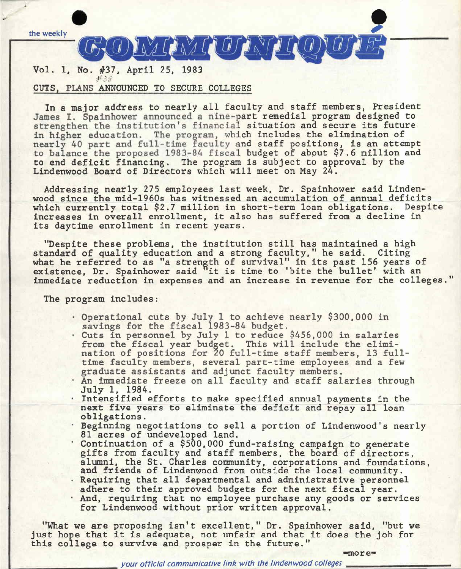

### CUTS , **PLANS** ANNOUNCED TO SECURE COLLEGES

In a major address *to* nearly all faculty and staff members, President James I. Spainhower announced a nine-part remedial program designed to strengthen the institution's financial situation and secure its future in higher education. The program, which includes the elimination of nearly 40 part and full-time faculty and staff positions, is an attempt to balance the proposed 1983-84 fiscal budget of about \$7.6 million and *to* end deficit financing. The program is subject to approval by the Lindenwood Board of Directors which will meet on May 24.

Addressing nearly 275 employees last week, Dr. Spainhower said Lindenwood since the mid-1960s has witnessed an accumulation of annual deficits which currently total \$2.7 million in short-term loan obligations. Despite increases in overall enrollment, it also has suffered from a decline in its daytime enrollment in recent years.

"Despite these problems, the institution still has maintained a high standard of quality education and a strong faculty," he said. Citing standard of quarity education and a strong faculty, he said: Offing<br>what he referred to as "a strength of survival" in its past 156 years of existence, Dr. Spainhower said "it is time to 'bite the bullet' with an immediate reduction in expenses and an increase in revenue for the colleges."

The program includes:

- Operational cuts by July 1 to achieve nearly \$300,000 in savings for the fiscal 1983-84 budget.
- · Cuts in personnel by July 1 to reduce \$456,000 in salaries from the fiscal year budget. This will include the elimination of positions for 20 full-time staff members, 13 fulltime faculty members, several part-time employees and a few graduate assistants and adjunct faculty members.
- An immediate freeze on all faculty and staff salaries through<br>July 1, 1984.<br>· Intensified efforts to make specified annual payments in the
- next five years to eliminate the deficit and repay all loan
- obligations.<br>• Beginning negotiations to sell a portion of Lindenwood's nearly
- <sup>81</sup> acres of undeveloped land.<br>· Continuation of a \$500,000 fund-raising campaign to generate gifts from faculty and staff members, the board of directors, alumni, the St. Charles community, corporations and foundations, and friends of Lindenwood from outside the local community.<br>. Requiring that all departmental and administrative personnel
- . Requiring that all departmental and administrative personnel<br>adhere to their approved budgets for the next fiscal year.
- And, requiring that no employee purchase any goods or services for Lindenwood without prior written approval.

"What we are proposing isn't excellent," Dr. Spainhower said, "but we just hope that it is adequate, not unfair and that it does the job for this college *to* survive and prosper in the future."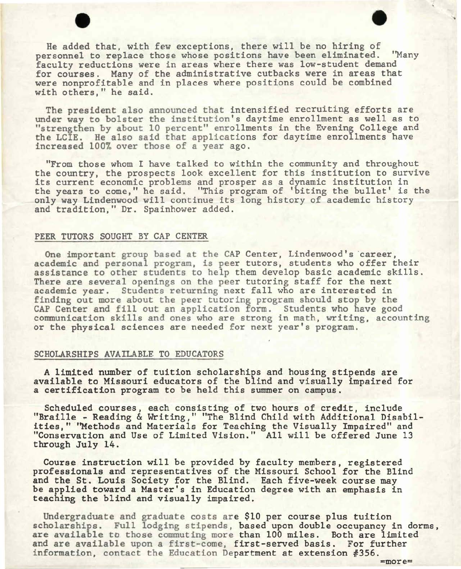• • He added that, with few exceptions, there will be no hiring of personnel to replace those whose positions have been eliminated. ''Many faculty reductions were in areas where there was low-student demand for courses. Many of the administrative cutbacks were in areas that were nonprofitable and in places where positions could be combined with others," he said.

The president also announced that intensified recruiting efforts are under way to bolster the institution's daytime enrollment as well as to "strengthen by about 10 percent" enrollments in the Evening College and the LCIE. He also said that applications for daytime enrollments have increased 100% over those of a year ago.

"From those whom I have talked to within the community and throughout the country, the prospects look excellent for this institution to survive its current economic problems and prosper as a dynamic institution in the years to come," he said, "This program of 'biting the bullet' is the only way Lindenwood will continue its long history of academic history and tradition," Dr. Spainhower added.

#### PEER TUTORS SOUGHT BY CAP CENTER

One important group based at the CAP Center, Lindenwood's career, academic and personal program, is peer tutors, students who offer their assistance to other students to help them develop basic academic skills. There are several openings on the peer tutoring staff for the next academic year. Students returning next fall who are interested in finding out more about the peer tutoring program should stop by the CAP Center and fill out an application form. Students who have good communication skills and ones who are strong in math, writing, accounting or the physical sciences are needed for next year's program.

#### SCHOLARSHIPS AVAILABLE TO EDUCATORS

A limited number of tuition scholarships and housing stipends are available to Missouri educators of the blind and visually impaired for a certification program to be held this summer on campus.

Scheduled courses, each consisting of two hours of credit, include "Braille - Reading & Writing," "The Blind Child with Additional Disabilities," ''Methods and Materials for Teaching the Visually Impaired" and "Conservation and Use of Limited Vision." All will be offered June 13 through July 14.

Course instruction will be provided by faculty members, registered professionals and representatives of the Missouri School for the Blind and the St. Louis Society for the Blind. Each five-week course may be applied toward a Master's in Education degree with an emphasis in teaching the blind and visually impaired.

Undergraduate and graduate costs are \$10 per course plus tuition scholarships. Full lodging stipends, based upon double occupancy in dorms, are available to those commuting more than 100 miles. Both are limited and are available upon a first-come, first-served basis. For further information, contact the Education Department at extension  $#356$ .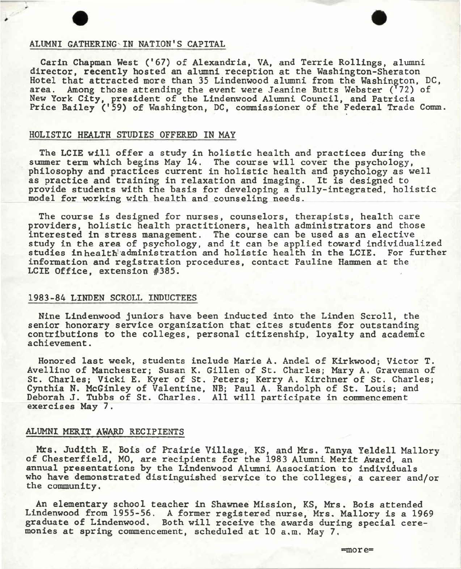# ALUMNI GATHERING IN NATION'S CAPITAL ALUMNI GATHERING, IN NATION'S CAPITAL

Carin Chapman West ('67) of Alexandria, VA, and Terrie Rollings, alumni director, recently hosted an alumni reception at the Washington-Sheraton Hotel that attracted more than 35 Lindenwood alumni from the Washington, DC, area. Among those attending the event were Jeanine Butts Webster ('72) of New York City, president of the Lindenwood Alumni Council, and Patricia Price Bailey ('59) of Washington, DC, commissioner of the Federal Trade Comm.

#### HOLISTIC HEALTH STUDIES OFFERED IN MAY

The LCIE will offer a study in holistic health and practices during the summer term which begins May 14. The course will cover the psychology, philosophy and practices current in holistic health and psychology as well as practice and training in relaxation and imaging. It is designed to provide students with the basis for developing a fully-integrated, holistic model for working with health and counseling needs.

The course is designed for nurses, counselors, therapists, health care providers, holistic health practitioners, health administrators and those interested in stress management. The course can be used as an elective study in the area of psychology, and it can be applied toward individualized studies in health administration and holistic health in the LCIE. For further information and registration procedures, contact Pauline Hammen at the LCIE Office, extension #385.

#### 1983-84 **LINDEN** SCROLL INDUCTEES

Nine Lindenwood juniors have been inducted into the Linden Scroll, the senior honorary service organization that cites students for outstanding contributions to the colleges, personal citizenship, loyalty and academic achievement.

Honored last week, students include Marie A. Andel of Kirkwood; Victor T. Avellino of Manchester; Susan K. Gillen of St. Charles; Mary A. Graveman of St. Charles; Vicki E. Kyer of St. Peters; Kerry A. Kirchner of St. Charles; Cynthia N. McGinley of Valentine, NB; Paul A. Randolph of St. Louis; and Deborah J. Tubbs of St. Charles. All will participate in commencement exercises May 7.

## ALUMNI MERIT AWARD RECIPIENTS

Mrs. Judith E. Bois of Prairie Village, KS, and Mrs. Tanya Yeldell Mallory of Chesterfield, MO, are recipients for the 1983 Alumni Merit Award, an annual presentations by the Lindenwood Alumni Association to individuals who have demonstrated distinguished service to the colleges, a career and/or the community.

An elementary school teacher in Shawnee Mission, KS, Mrs. Bois attended Lindenwood from 1955-56. A former registered nurse, Mrs. Mallory is a 1969 graduate of Lindenwood. Both will receive the awards during special ceremonies at spring commencement, scheduled at 10 a.m. May 7.